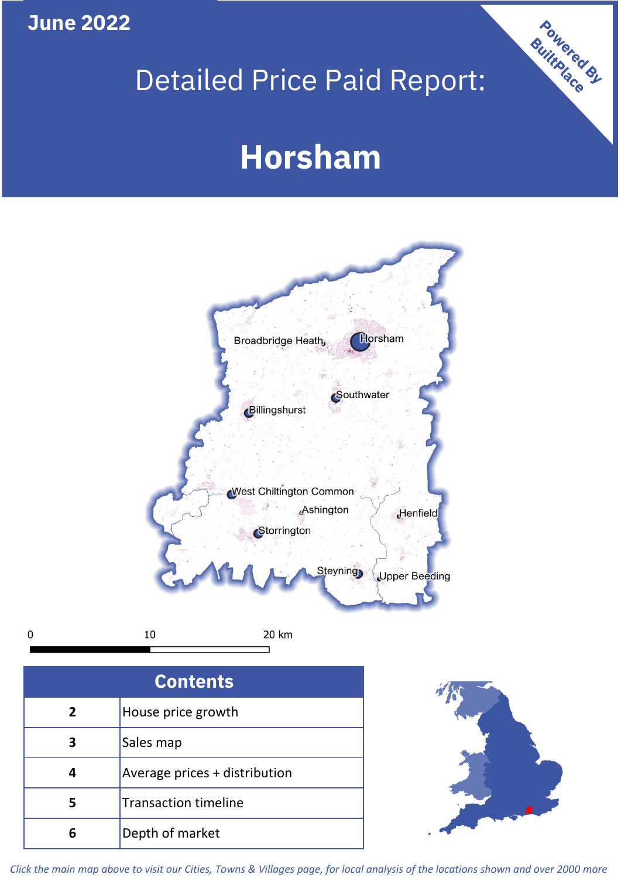## **June 2022**

## Detailed Price Paid Report:

# **Horsham**



 $\mathbf 0$ 

20 km

| <b>Contents</b> |                               |  |  |
|-----------------|-------------------------------|--|--|
| 2               | House price growth            |  |  |
|                 | Sales map                     |  |  |
|                 | Average prices + distribution |  |  |
| 5               | <b>Transaction timeline</b>   |  |  |
|                 | Depth of market               |  |  |



Powered By

*Click the main map above to visit our Cities, Towns & Villages page, for local analysis of the locations shown and over 2000 more*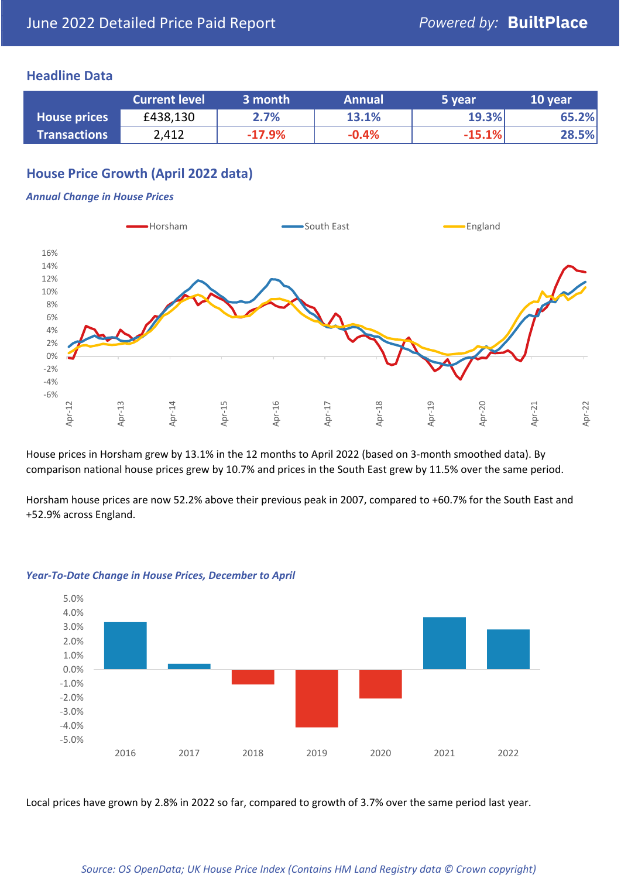### **Headline Data**

|                     | <b>Current level</b> | 3 month  | <b>Annual</b> | 5 year   | 10 year |
|---------------------|----------------------|----------|---------------|----------|---------|
| <b>House prices</b> | £438,130             | 2.7%     | 13.1%         | 19.3%    | 65.2%   |
| <b>Transactions</b> | 2,412                | $-17.9%$ | $-0.4%$       | $-15.1%$ | 28.5%   |

## **House Price Growth (April 2022 data)**

#### *Annual Change in House Prices*



House prices in Horsham grew by 13.1% in the 12 months to April 2022 (based on 3-month smoothed data). By comparison national house prices grew by 10.7% and prices in the South East grew by 11.5% over the same period.

Horsham house prices are now 52.2% above their previous peak in 2007, compared to +60.7% for the South East and +52.9% across England.



#### *Year-To-Date Change in House Prices, December to April*

Local prices have grown by 2.8% in 2022 so far, compared to growth of 3.7% over the same period last year.

#### *Source: OS OpenData; UK House Price Index (Contains HM Land Registry data © Crown copyright)*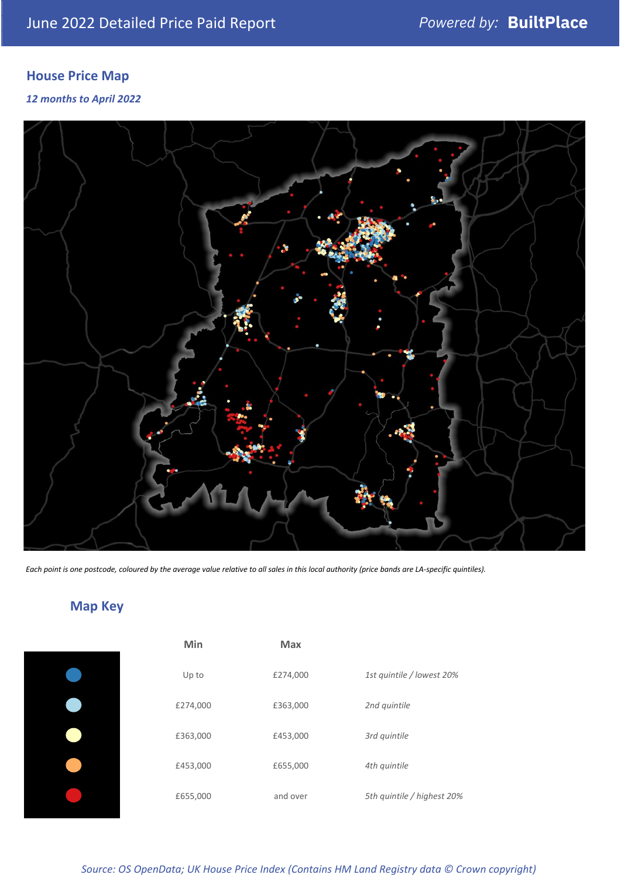## **House Price Map**

*12 months to April 2022*



*Each point is one postcode, coloured by the average value relative to all sales in this local authority (price bands are LA-specific quintiles).*

## **Map Key**

| Min      | Max      |                            |
|----------|----------|----------------------------|
| Up to    | £274,000 | 1st quintile / lowest 20%  |
| £274,000 | £363,000 | 2nd quintile               |
| £363,000 | £453,000 | 3rd quintile               |
| £453,000 | £655,000 | 4th quintile               |
| £655,000 | and over | 5th quintile / highest 20% |

*Source: OS OpenData; UK House Price Index (Contains HM Land Registry data © Crown copyright)*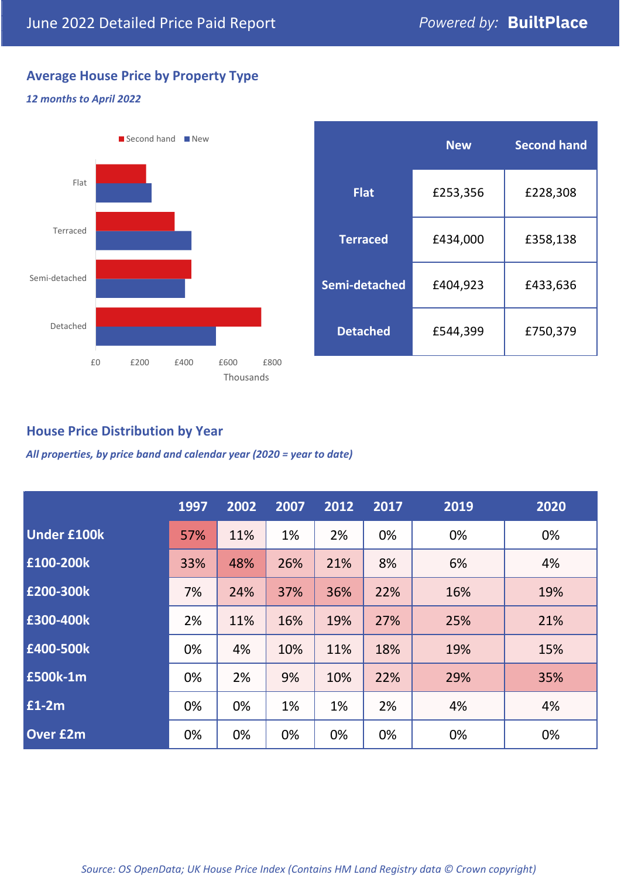## **Average House Price by Property Type**

#### *12 months to April 2022*



|                 | <b>New</b> | <b>Second hand</b> |  |  |
|-----------------|------------|--------------------|--|--|
| <b>Flat</b>     | £253,356   | £228,308           |  |  |
| <b>Terraced</b> | £434,000   | £358,138           |  |  |
| Semi-detached   | £404,923   | £433,636           |  |  |
| <b>Detached</b> | £544,399   | £750,379           |  |  |

## **House Price Distribution by Year**

*All properties, by price band and calendar year (2020 = year to date)*

|                    | 1997 | 2002 | 2007 | 2012 | 2017 | 2019 | 2020 |
|--------------------|------|------|------|------|------|------|------|
| <b>Under £100k</b> | 57%  | 11%  | 1%   | 2%   | 0%   | 0%   | 0%   |
| £100-200k          | 33%  | 48%  | 26%  | 21%  | 8%   | 6%   | 4%   |
| E200-300k          | 7%   | 24%  | 37%  | 36%  | 22%  | 16%  | 19%  |
| £300-400k          | 2%   | 11%  | 16%  | 19%  | 27%  | 25%  | 21%  |
| £400-500k          | 0%   | 4%   | 10%  | 11%  | 18%  | 19%  | 15%  |
| <b>£500k-1m</b>    | 0%   | 2%   | 9%   | 10%  | 22%  | 29%  | 35%  |
| £1-2m              | 0%   | 0%   | 1%   | 1%   | 2%   | 4%   | 4%   |
| <b>Over £2m</b>    | 0%   | 0%   | 0%   | 0%   | 0%   | 0%   | 0%   |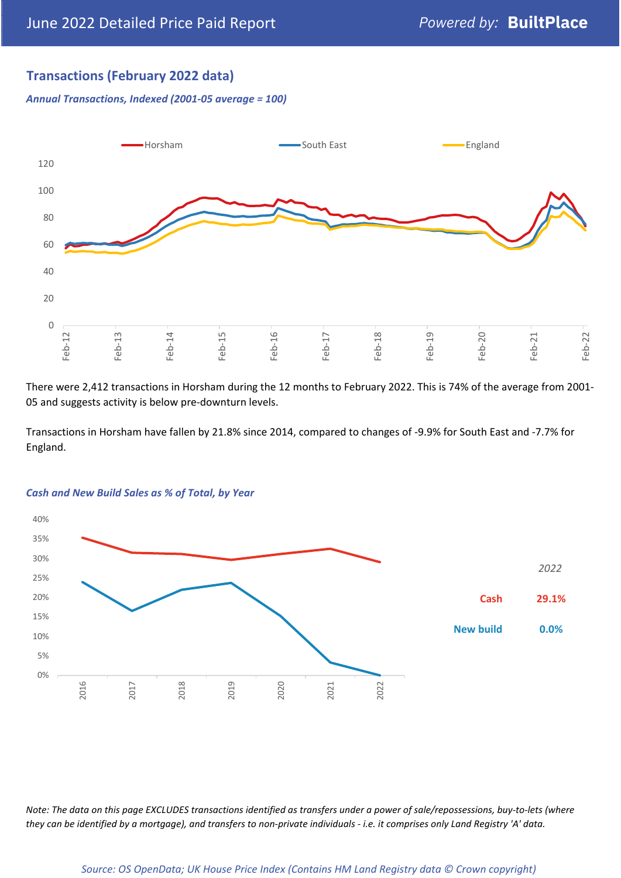## **Transactions (February 2022 data)**

*Annual Transactions, Indexed (2001-05 average = 100)*



There were 2,412 transactions in Horsham during the 12 months to February 2022. This is 74% of the average from 2001- 05 and suggests activity is below pre-downturn levels.

Transactions in Horsham have fallen by 21.8% since 2014, compared to changes of -9.9% for South East and -7.7% for England.



#### *Cash and New Build Sales as % of Total, by Year*

*Note: The data on this page EXCLUDES transactions identified as transfers under a power of sale/repossessions, buy-to-lets (where they can be identified by a mortgage), and transfers to non-private individuals - i.e. it comprises only Land Registry 'A' data.*